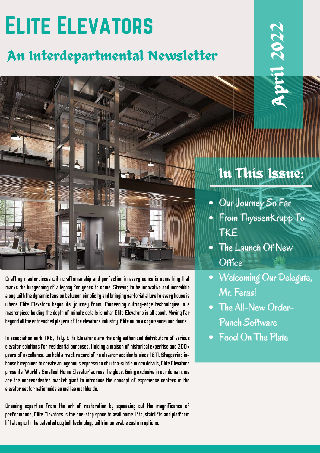# Elite Elevators

### An Interdepartmental Newsletter

Crafting masterpieces with craftsmanship and perfection in every ounce is something that marks the burgeoning of a legacy for years to come. Striving to be innovative and incredible along with the dynamic tension between simplicity and bringing sartorial allure to every house is where Elite Elevators began its journey from. Pioneering cutting-edge technologies in a masterpiece holding the depth of minute details is what Elite Elevators is all about. Moving far beyond all the entrenched players of the elevators industry, Elite owns a cognizance worldwide.

In association with TKE, Italy, Elite Elevators are the only authorized distributors of various elevator solutions for residential purposes. Holding a maisonof historical expertise and 200+ years of excellence, we hold a track record of no elevator accidents since 1811. Staggering inhouse firepower to create an ingenious expression of ultra-subtle micro details, Elite Elevators presents 'World's Smallest Home Elevator' across the globe. Being exclusive in our domain, we are the unprecedented market giant to introduce the concept of experience centers in the elevatorsectornationwideas wellas worldwide.

Drawing expertise from the art of restoration by squeezing out the magnificence of performance, Elite Elevators is the one-stop space to avail home lifts, stairlifts and platform lift along with the patented cog belt technology with innumerable custom options.

## In This Issue:

April

20

22

- Our Journey So Far
- From ThyssenKrupp To **TKE**
- The Launch Of New **Office**
- Welcoming Our Delegate, Mr. Feras!
- The All-New Order-Punch Software
- Food On The Plate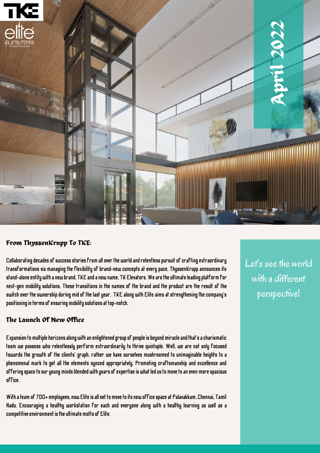

### From ThyssenKrupp To TKE:

Collaborating decades of success stories from all over the world and relentless pursuit of crafting extraordinary transformations via managing the flexibility of brand-new concepts at every pace, ThyssenKrupp announces its stand-alone entity with a new brand, TKE and a new name, TK Elevators. We are the ultimate leading platform for next-gen mobility solutions. These transitions in the names of the brand and the product are the result of the switch over the ownership during mid of the last year. TKE along with Elite aims at strengthening the company's positioning in terms of ensuring mobility solutions at top-notch.

#### The Launch Of New Office

Expansion to multiple horizons along with an enlightened group of people is beyond miracle and that's a charismatic team we possess who relentlessly perform extraordinarily to thrive quintuple. Well, we are not only focused towards the growth of the clients' graph, rather we have ourselves mushroomed to unimaginable heights to a phenomenal mark to get all the elements synced appropriately. Promoting craftsmanship and excellence and offering space to our young minds blended with years of expertise is what led us to move to an even more spacious office.

With a team of 700+ employees, now Elite is all set to move to its new office space at Palavakkam, Chennai, Tamil Nadu. Encouraging a healthy workstation for each and everyone along with a healthy learning as well as a competitive environment is the ultimate motto of Elite.

Let's see the world with a different perspective!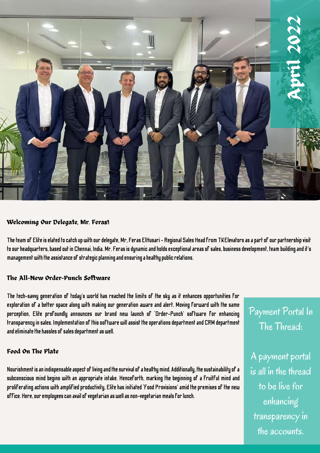

#### Welcoming Our Delegate, Mr. Feras!

The team of Elite is elated to catch up with our delegate, Mr, Feras ElHusari – Regional Sales Head from TKElevators as a part of our partnership visit to our headquarters, based out in Chennai, India. Mr. Feras is dynamic and holds exceptional areas of sales, business development, team building and it's management with the assistance of strategic planning and ensuring a healthy public relations.

#### The All-New Order-Punch Software

The tech-savvy generation of today's world has reached the limits of the sky as it enhances opportunities for exploration of a better space along with making our generation aware and alert. Moving forward with the same perception, Elite profoundly announces our brand new launch of 'Order-Punch' software for enhancing transparency in sales. Implementation of this software will assist the operations department and CRM department and eliminate the hassles of sales department as well.

#### Food On The Plate

Nourishment is an indispensable aspect of living and the survival of a healthy mind. Additionally, the sustainability of a subconscious mind begins with an appropriate intake. Henceforth, marking the beginning of a fruitful mind and proliferating actions with amplified productivity, Elite has initiated 'Food Provisions' amid the premises of the new office. Here, our employees can avail of vegetarian as well as non-vegetarian meals for lunch.

Payment Portal In The Thread:

A payment portal is all in the thread to be live for enhancing transparency in the accounts.